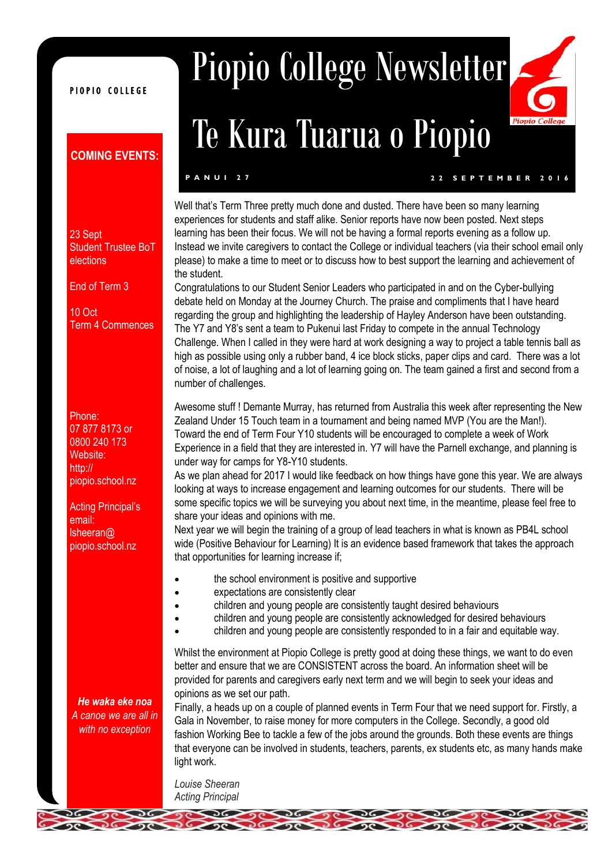#### PIOPIO COLLEGE

#### **COMING EVENTS:**

#### 23 Sept Student Trustee BoT elections

End of Term 3

10 Oct Term 4 Commences

Phone: 07 877 8173 or 0800 240 173 Website: http:// piopio.school.nz

Acting Principal's email: lsheeran@ piopio.school.nz

*He waka eke noa A canoe we are all in with no exception* 

# Piopio College Newsletter

# Te Kura Tuarua o Piopio

**P A N U I 2 7 2 2 S E P T E M B E R 2 0 1 6**

 $Pio$ 

Well that's Term Three pretty much done and dusted. There have been so many learning experiences for students and staff alike. Senior reports have now been posted. Next steps learning has been their focus. We will not be having a formal reports evening as a follow up. Instead we invite caregivers to contact the College or individual teachers (via their school email only please) to make a time to meet or to discuss how to best support the learning and achievement of the student.

Congratulations to our Student Senior Leaders who participated in and on the Cyber-bullying debate held on Monday at the Journey Church. The praise and compliments that I have heard regarding the group and highlighting the leadership of Hayley Anderson have been outstanding. The Y7 and Y8's sent a team to Pukenui last Friday to compete in the annual Technology Challenge. When I called in they were hard at work designing a way to project a table tennis ball as high as possible using only a rubber band, 4 ice block sticks, paper clips and card. There was a lot of noise, a lot of laughing and a lot of learning going on. The team gained a first and second from a number of challenges.

Awesome stuff ! Demante Murray, has returned from Australia this week after representing the New Zealand Under 15 Touch team in a tournament and being named MVP (You are the Man!). Toward the end of Term Four Y10 students will be encouraged to complete a week of Work Experience in a field that they are interested in. Y7 will have the Parnell exchange, and planning is under way for camps for Y8-Y10 students.

As we plan ahead for 2017 I would like feedback on how things have gone this year. We are always looking at ways to increase engagement and learning outcomes for our students. There will be some specific topics we will be surveying you about next time, in the meantime, please feel free to share your ideas and opinions with me.

Next year we will begin the training of a group of lead teachers in what is known as PB4L school wide (Positive Behaviour for Learning) It is an evidence based framework that takes the approach that opportunities for learning increase if;

- the school environment is positive and supportive
- expectations are consistently clear
- children and young people are consistently taught desired behaviours
- children and young people are consistently acknowledged for desired behaviours
- children and young people are consistently responded to in a fair and equitable way.

Whilst the environment at Piopio College is pretty good at doing these things, we want to do even better and ensure that we are CONSISTENT across the board. An information sheet will be provided for parents and caregivers early next term and we will begin to seek your ideas and opinions as we set our path.

Finally, a heads up on a couple of planned events in Term Four that we need support for. Firstly, a Gala in November, to raise money for more computers in the College. Secondly, a good old fashion Working Bee to tackle a few of the jobs around the grounds. Both these events are things that everyone can be involved in students, teachers, parents, ex students etc, as many hands make light work.

*Louise Sheeran Acting Principal*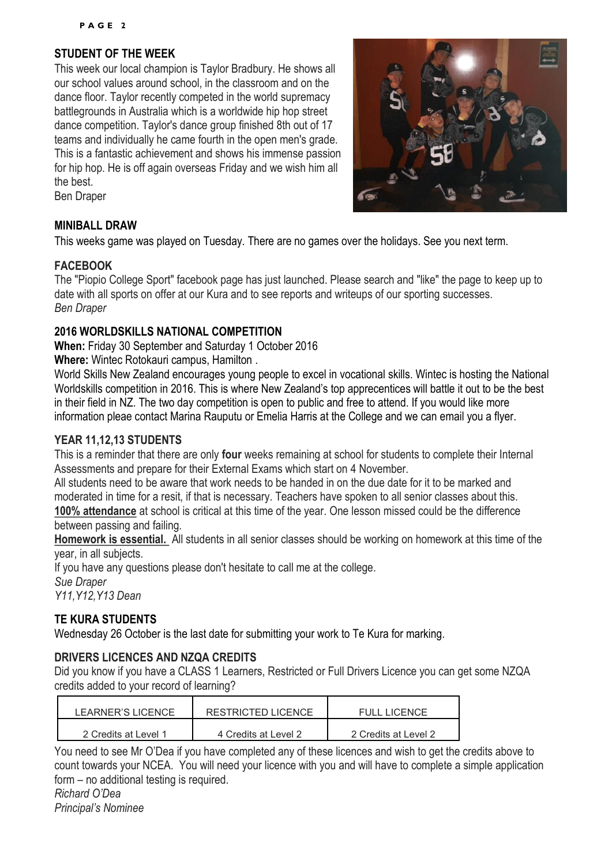#### **STUDENT OF THE WEEK**

This week our local champion is Taylor Bradbury. He shows all our school values around school, in the classroom and on the dance floor. Taylor recently competed in the world supremacy battlegrounds in Australia which is a worldwide hip hop street dance competition. Taylor's dance group finished 8th out of 17 teams and individually he came fourth in the open men's grade. This is a fantastic achievement and shows his immense passion for hip hop. He is off again overseas Friday and we wish him all the best.

Ben Draper

#### **MINIBALL DRAW**

This weeks game was played on Tuesday. There are no games over the holidays. See you next term.

#### **FACEBOOK**

The "Piopio College Sport" facebook page has just launched. Please search and "like" the page to keep up to date with all sports on offer at our Kura and to see reports and writeups of our sporting successes. *Ben Draper*

#### **2016 WORLDSKILLS NATIONAL COMPETITION**

**When:** Friday 30 September and Saturday 1 October 2016

**Where:** Wintec Rotokauri campus, Hamilton .

World Skills New Zealand encourages young people to excel in vocational skills. Wintec is hosting the National Worldskills competition in 2016. This is where New Zealand's top apprecentices will battle it out to be the best in their field in NZ. The two day competition is open to public and free to attend. If you would like more information pleae contact Marina Rauputu or Emelia Harris at the College and we can email you a flyer.

#### **YEAR 11,12,13 STUDENTS**

This is a reminder that there are only **four** weeks remaining at school for students to complete their Internal Assessments and prepare for their External Exams which start on 4 November.

All students need to be aware that work needs to be handed in on the due date for it to be marked and moderated in time for a resit, if that is necessary. Teachers have spoken to all senior classes about this. **100% attendance** at school is critical at this time of the year. One lesson missed could be the difference between passing and failing.

**Homework is essential.** All students in all senior classes should be working on homework at this time of the year, in all subjects.

If you have any questions please don't hesitate to call me at the college. *Sue Draper Y11,Y12,Y13 Dean*

#### **TE KURA STUDENTS**

Wednesday 26 October is the last date for submitting your work to Te Kura for marking.

#### **DRIVERS LICENCES AND NZQA CREDITS**

Did you know if you have a CLASS 1 Learners, Restricted or Full Drivers Licence you can get some NZQA credits added to your record of learning?

| LEARNER'S LICENCE    | <b>RESTRICTED LICENCE</b> | <b>FULL LICENCE</b>  |
|----------------------|---------------------------|----------------------|
| 2 Credits at Level 1 | 4 Credits at Level 2      | 2 Credits at Level 2 |

You need to see Mr O'Dea if you have completed any of these licences and wish to get the credits above to count towards your NCEA. You will need your licence with you and will have to complete a simple application form – no additional testing is required.

*Richard O'Dea Principal's Nominee*

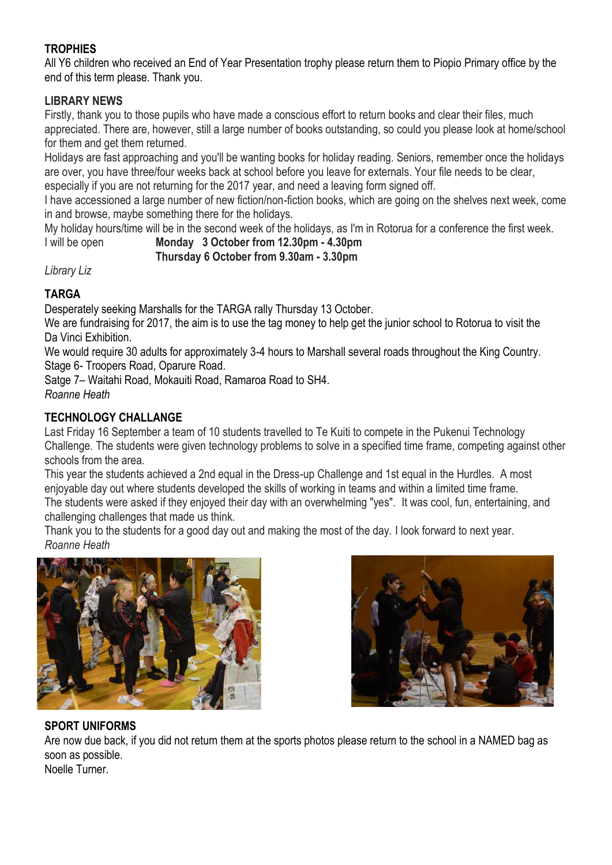#### **TROPHIES**

All Y6 children who received an End of Year Presentation trophy please return them to Piopio Primary office by the end of this term please. Thank you.

#### **LIBRARY NEWS**

Firstly, thank you to those pupils who have made a conscious effort to return books and clear their files, much appreciated. There are, however, still a large number of books outstanding, so could you please look at home/school for them and get them returned.

Holidays are fast approaching and you'll be wanting books for holiday reading. Seniors, remember once the holidays are over, you have three/four weeks back at school before you leave for externals. Your file needs to be clear, especially if you are not returning for the 2017 year, and need a leaving form signed off.

I have accessioned a large number of new fiction/non-fiction books, which are going on the shelves next week, come in and browse, maybe something there for the holidays.

My holiday hours/time will be in the second week of the holidays, as I'm in Rotorua for a conference the first week.

#### I will be open **Monday 3 October from 12.30pm - 4.30pm Thursday 6 October from 9.30am - 3.30pm**

*Library Liz*

#### **TARGA**

Desperately seeking Marshalls for the TARGA rally Thursday 13 October.

We are fundraising for 2017, the aim is to use the tag money to help get the junior school to Rotorua to visit the Da Vinci Exhibition.

We would require 30 adults for approximately 3-4 hours to Marshall several roads throughout the King Country. Stage 6- Troopers Road, Oparure Road.

Satge 7– Waitahi Road, Mokauiti Road, Ramaroa Road to SH4. *Roanne Heath*

#### **TECHNOLOGY CHALLANGE**

Last Friday 16 September a team of 10 students travelled to Te Kuiti to compete in the Pukenui Technology Challenge. The students were given technology problems to solve in a specified time frame, competing against other schools from the area.

This year the students achieved a 2nd equal in the Dress-up Challenge and 1st equal in the Hurdles. A most enjoyable day out where students developed the skills of working in teams and within a limited time frame. The students were asked if they enjoyed their day with an overwhelming "yes". It was cool, fun, entertaining, and challenging challenges that made us think.

Thank you to the students for a good day out and making the most of the day. I look forward to next year. *Roanne Heath*





#### **SPORT UNIFORMS**

Are now due back, if you did not return them at the sports photos please return to the school in a NAMED bag as soon as possible.

Noelle Turner.